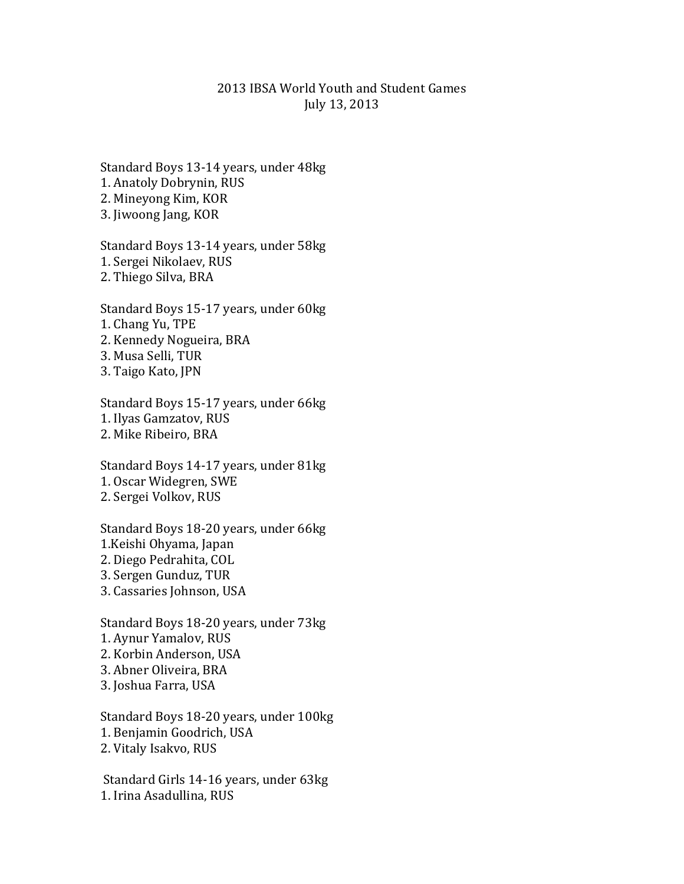## 2013 IBSA World Youth and Student Games July 13, 2013

Standard Boys 13-14 years, under 48kg 1. Anatoly Dobrynin, RUS 2. Mineyong Kim, KOR 3. Jiwoong Jang, KOR

Standard Boys 13-14 years, under 58kg 1. Sergei Nikolaev, RUS 2. Thiego Silva, BRA

Standard Boys 15-17 years, under 60kg 1. Chang Yu, TPE 2. Kennedy Nogueira, BRA 3. Musa Selli, TUR 3. Taigo Kato, JPN

Standard Boys 15-17 years, under 66kg 1. Ilyas Gamzatov, RUS 2. Mike Ribeiro, BRA

Standard Boys 14-17 years, under 81kg 1. Oscar Widegren, SWE 2. Sergei Volkov, RUS

Standard Boys 18-20 years, under 66kg 1.Keishi Ohyama, Japan 2. Diego Pedrahita, COL 3. Sergen Gunduz, TUR 3. Cassaries Johnson, USA

Standard Boys 18-20 years, under 73kg 1. Aynur Yamalov, RUS 2. Korbin Anderson, USA 3. Abner Oliveira, BRA 3. Joshua Farra, USA

Standard Boys 18-20 years, under 100kg 1. Benjamin Goodrich, USA 2. Vitaly Isakvo, RUS

Standard Girls 14-16 years, under 63kg 1. Irina Asadullina, RUS